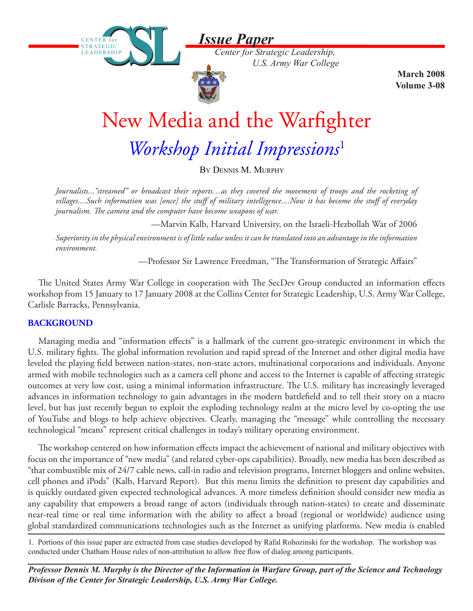*Issue Paper*

*Center for Strategic Leadership, U.S. Army War College*



CENTER for STRATEGIC LEADERSHIP

STRATEGIC LEADERSHIP

> **March 2008 Volume 3-08**

# New Media and the Warfighter

*Workshop Initial Impressions*<sup>1</sup>

By Dennis M. Murphy

*Journalists..."streamed" or broadcast their reports…as they covered the movement of troops and the rocketing of villages....Such information was [once] the stuff of military intelligence....Now it has become the stuff of everyday journalism. The camera and the computer have become weapons of war.*

—Marvin Kalb, Harvard University, on the Israeli-Hezbollah War of 2006

*Superiority in the physical environment is of little value unless it can be translated into an advantage in the information environment.* 

—Professor Sir Lawrence Freedman, "The Transformation of Strategic Affairs"

The United States Army War College in cooperation with The SecDev Group conducted an information effects workshop from 15 January to 17 January 2008 at the Collins Center for Strategic Leadership, U.S. Army War College, Carlisle Barracks, Pennsylvania.

## **BACKGROUND**

Managing media and "information effects" is a hallmark of the current geo-strategic environment in which the U.S. military fights. The global information revolution and rapid spread of the Internet and other digital media have leveled the playing field between nation-states, non-state actors, multinational corporations and individuals. Anyone armed with mobile technologies such as a camera cell phone and access to the Internet is capable of affecting strategic outcomes at very low cost, using a minimal information infrastructure. The U.S. military has increasingly leveraged advances in information technology to gain advantages in the modern battlefield and to tell their story on a macro level, but has just recently begun to exploit the exploding technology realm at the micro level by co-opting the use of YouTube and blogs to help achieve objectives. Clearly, managing the "message" while controlling the necessary technological "means" represent critical challenges in today's military operating environment.

The workshop centered on how information effects impact the achievement of national and military objectives with focus on the importance of "new media" (and related cyber-ops capabilities). Broadly, new media has been described as "that combustible mix of 24/7 cable news, call-in radio and television programs, Internet bloggers and online websites, cell phones and iPods" (Kalb, Harvard Report). But this menu limits the definition to present day capabilities and is quickly outdated given expected technological advances. A more timeless definition should consider new media as any capability that empowers a broad range of actors (individuals through nation-states) to create and disseminate near-real time or real time information with the ability to affect a broad (regional or worldwide) audience using global standardized communications technologies such as the Internet as unifying platforms. New media is enabled

1. Portions of this issue paper are extracted from case studies developed by Rafal Rohozinski for the workshop. The workshop was conducted under Chatham House rules of non-attribution to allow free flow of dialog among participants.

*Professor Dennis M. Murphy is the Director of the Information in Warfare Group, part of the Science and Technology Divison of the Center for Strategic Leadership, U.S. Army War College.*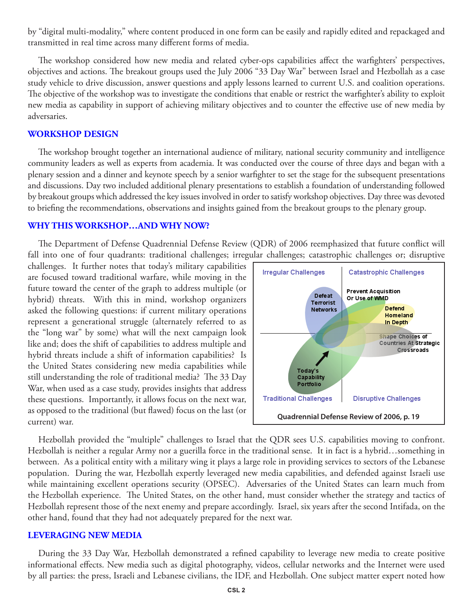by "digital multi-modality," where content produced in one form can be easily and rapidly edited and repackaged and transmitted in real time across many different forms of media.

The workshop considered how new media and related cyber-ops capabilities affect the warfighters' perspectives, objectives and actions. The breakout groups used the July 2006 "33 Day War" between Israel and Hezbollah as a case study vehicle to drive discussion, answer questions and apply lessons learned to current U.S. and coalition operations. The objective of the workshop was to investigate the conditions that enable or restrict the warfighter's ability to exploit new media as capability in support of achieving military objectives and to counter the effective use of new media by adversaries.

#### **WORKSHOP DESIGN**

The workshop brought together an international audience of military, national security community and intelligence community leaders as well as experts from academia. It was conducted over the course of three days and began with a plenary session and a dinner and keynote speech by a senior warfighter to set the stage for the subsequent presentations and discussions. Day two included additional plenary presentations to establish a foundation of understanding followed by breakout groups which addressed the key issues involved in order to satisfy workshop objectives. Day three was devoted to briefing the recommendations, observations and insights gained from the breakout groups to the plenary group.

## **WHY THIS WORKSHOP…AND WHY NOW?**

The Department of Defense Quadrennial Defense Review (QDR) of 2006 reemphasized that future conflict will fall into one of four quadrants: traditional challenges; irregular challenges; catastrophic challenges or; disruptive

challenges. It further notes that today's military capabilities are focused toward traditional warfare, while moving in the future toward the center of the graph to address multiple (or hybrid) threats. With this in mind, workshop organizers asked the following questions: if current military operations represent a generational struggle (alternately referred to as the "long war" by some) what will the next campaign look like and; does the shift of capabilities to address multiple and hybrid threats include a shift of information capabilities? Is the United States considering new media capabilities while still understanding the role of traditional media? The 33 Day War, when used as a case study, provides insights that address these questions. Importantly, it allows focus on the next war, as opposed to the traditional (but flawed) focus on the last (or current) war.



Hezbollah provided the "multiple" challenges to Israel that the QDR sees U.S. capabilities moving to confront. Hezbollah is neither a regular Army nor a guerilla force in the traditional sense. It in fact is a hybrid…something in between. As a political entity with a military wing it plays a large role in providing services to sectors of the Lebanese population. During the war, Hezbollah expertly leveraged new media capabilities, and defended against Israeli use while maintaining excellent operations security (OPSEC). Adversaries of the United States can learn much from the Hezbollah experience. The United States, on the other hand, must consider whether the strategy and tactics of Hezbollah represent those of the next enemy and prepare accordingly. Israel, six years after the second Intifada, on the other hand, found that they had not adequately prepared for the next war.

## **LEVERAGING NEW MEDIA**

During the 33 Day War, Hezbollah demonstrated a refined capability to leverage new media to create positive informational effects. New media such as digital photography, videos, cellular networks and the Internet were used by all parties: the press, Israeli and Lebanese civilians, the IDF, and Hezbollah. One subject matter expert noted how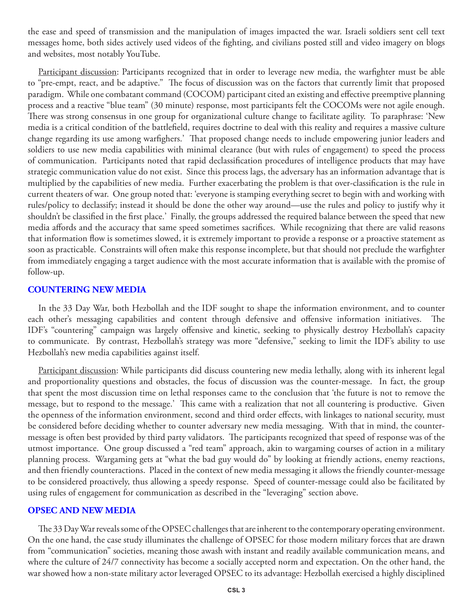the ease and speed of transmission and the manipulation of images impacted the war. Israeli soldiers sent cell text messages home, both sides actively used videos of the fighting, and civilians posted still and video imagery on blogs and websites, most notably YouTube.

Participant discussion: Participants recognized that in order to leverage new media, the warfighter must be able to "pre-empt, react, and be adaptive." The focus of discussion was on the factors that currently limit that proposed paradigm. While one combatant command (COCOM) participant cited an existing and effective preemptive planning process and a reactive "blue team" (30 minute) response, most participants felt the COCOMs were not agile enough. There was strong consensus in one group for organizational culture change to facilitate agility. To paraphrase: 'New media is a critical condition of the battlefield, requires doctrine to deal with this reality and requires a massive culture change regarding its use among warfighers.' That proposed change needs to include empowering junior leaders and soldiers to use new media capabilities with minimal clearance (but with rules of engagement) to speed the process of communication. Participants noted that rapid declassification procedures of intelligence products that may have strategic communication value do not exist. Since this process lags, the adversary has an information advantage that is multiplied by the capabilities of new media. Further exacerbating the problem is that over-classification is the rule in current theaters of war. One group noted that: 'everyone is stamping everything secret to begin with and working with rules/policy to declassify; instead it should be done the other way around—use the rules and policy to justify why it shouldn't be classified in the first place.' Finally, the groups addressed the required balance between the speed that new media affords and the accuracy that same speed sometimes sacrifices. While recognizing that there are valid reasons that information flow is sometimes slowed, it is extremely important to provide a response or a proactive statement as soon as practicable. Constraints will often make this response incomplete, but that should not preclude the warfighter from immediately engaging a target audience with the most accurate information that is available with the promise of follow-up.

#### **COUNTERING NEW MEDIA**

In the 33 Day War, both Hezbollah and the IDF sought to shape the information environment, and to counter each other's messaging capabilities and content through defensive and offensive information initiatives. The IDF's "countering" campaign was largely offensive and kinetic, seeking to physically destroy Hezbollah's capacity to communicate. By contrast, Hezbollah's strategy was more "defensive," seeking to limit the IDF's ability to use Hezbollah's new media capabilities against itself.

Participant discussion: While participants did discuss countering new media lethally, along with its inherent legal and proportionality questions and obstacles, the focus of discussion was the counter-message. In fact, the group that spent the most discussion time on lethal responses came to the conclusion that 'the future is not to remove the message, but to respond to the message.' This came with a realization that not all countering is productive. Given the openness of the information environment, second and third order effects, with linkages to national security, must be considered before deciding whether to counter adversary new media messaging. With that in mind, the countermessage is often best provided by third party validators. The participants recognized that speed of response was of the utmost importance. One group discussed a "red team" approach, akin to wargaming courses of action in a military planning process. Wargaming gets at "what the bad guy would do" by looking at friendly actions, enemy reactions, and then friendly counteractions. Placed in the context of new media messaging it allows the friendly counter-message to be considered proactively, thus allowing a speedy response. Speed of counter-message could also be facilitated by using rules of engagement for communication as described in the "leveraging" section above.

## **OPSEC AND NEW MEDIA**

The 33 Day War reveals some of the OPSEC challenges that are inherent to the contemporary operating environment. On the one hand, the case study illuminates the challenge of OPSEC for those modern military forces that are drawn from "communication" societies, meaning those awash with instant and readily available communication means, and where the culture of 24/7 connectivity has become a socially accepted norm and expectation. On the other hand, the war showed how a non-state military actor leveraged OPSEC to its advantage: Hezbollah exercised a highly disciplined